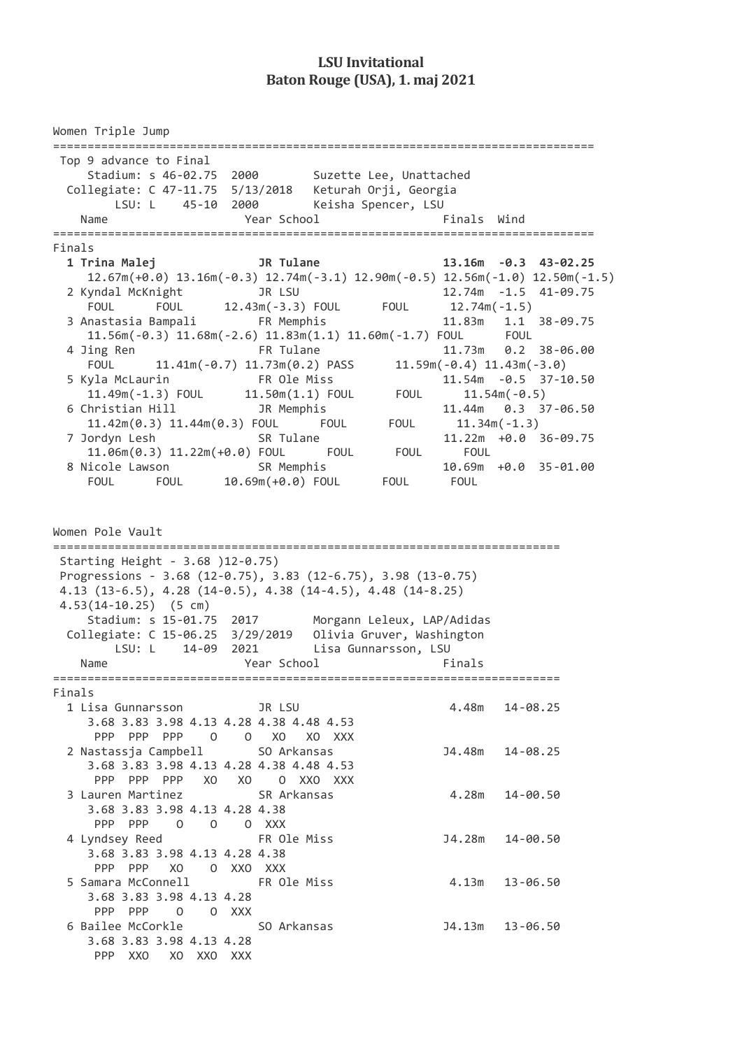## **LSU Invitational Baton Rouge (USA), 1. maj 2021**

Women Triple Jump =============================================================================== Top 9 advance to Final Stadium: s 46-02.75 2000 Suzette Lee, Unattached Collegiate: C 47-11.75 5/13/2018 Keturah Orji, Georgia LSU: L 45-10 2000 Keisha Spencer, LSU Name Year School Finals Wind =============================================================================== Finals  **1 Trina Malej JR Tulane 13.16m -0.3 43-02.25**  12.67m(+0.0) 13.16m(-0.3) 12.74m(-3.1) 12.90m(-0.5) 12.56m(-1.0) 12.50m(-1.5) 2 Kyndal McKnight JR LSU 12.74m -1.5 41-09.75 FOUL FOUL 12.43m(-3.3) FOUL FOUL 12.74m(-1.5) 3 Anastasia Bampali FR Memphis 11.83m 1.1 38-09.75 11.56m(-0.3) 11.68m(-2.6) 11.83m(1.1) 11.60m(-1.7) FOUL FOUL 4 Jing Ren FR Tulane 11.73m 0.2 38-06.00 FOUL 11.41m(-0.7) 11.73m(0.2) PASS 11.59m(-0.4) 11.43m(-3.0) 5 Kyla McLaurin FR Ole Miss 11.54m -0.5 37-10.50 11.49m(-1.3) FOUL 11.50m(1.1) FOUL FOUL 11.54m(-0.5) 6 Christian Hill JR Memphis 11.44m 0.3 37-06.50 11.42m(0.3) 11.44m(0.3) FOUL FOUL FOUL 11.34m(-1.3) 7 Jordyn Lesh SR Tulane 11.22m +0.0 36-09.75 11.06m(0.3) 11.22m(+0.0) FOUL FOUL FOUL FOUL 8 Nicole Lawson SR Memphis 10.69m +0.0 35-01.00 FOUL FOUL 10.69m(+0.0) FOUL FOUL FOUL Women Pole Vault ========================================================================== Starting Height - 3.68 )12-0.75) Progressions - 3.68 (12-0.75), 3.83 (12-6.75), 3.98 (13-0.75) 4.13 (13-6.5), 4.28 (14-0.5), 4.38 (14-4.5), 4.48 (14-8.25) 4.53(14-10.25) (5 cm) Stadium: s 15-01.75 2017 Morgann Leleux, LAP/Adidas Collegiate: C 15-06.25 3/29/2019 Olivia Gruver, Washington LSU: L 14-09 2021 Lisa Gunnarsson, LSU Name Year School Finals ========================================================================== Finals 1 Lisa Gunnarsson JR LSU 4.48m 14-08.25 3.68 3.83 3.98 4.13 4.28 4.38 4.48 4.53 PPP PPP PPP O O XO XO XXX 2 Nastassja Campbell SO Arkansas J4.48m 14-08.25 3.68 3.83 3.98 4.13 4.28 4.38 4.48 4.53 PPP PPP PPP XO XO O XXO XXX 3 Lauren Martinez SR Arkansas 4.28m 14-00.50 3.68 3.83 3.98 4.13 4.28 4.38 PPP PPP 0 0 0 XXX 4 Lyndsey Reed FR Ole Miss J4.28m 14-00.50 3.68 3.83 3.98 4.13 4.28 4.38 PPP PPP XO O XXO XXX 5 Samara McConnell FR Ole Miss 4.13m 13-06.50 3.68 3.83 3.98 4.13 4.28 PPP PPP O O XXX 6 Bailee McCorkle SO Arkansas J4.13m 13-06.50 3.68 3.83 3.98 4.13 4.28 PPP XXO XO XXO XXX